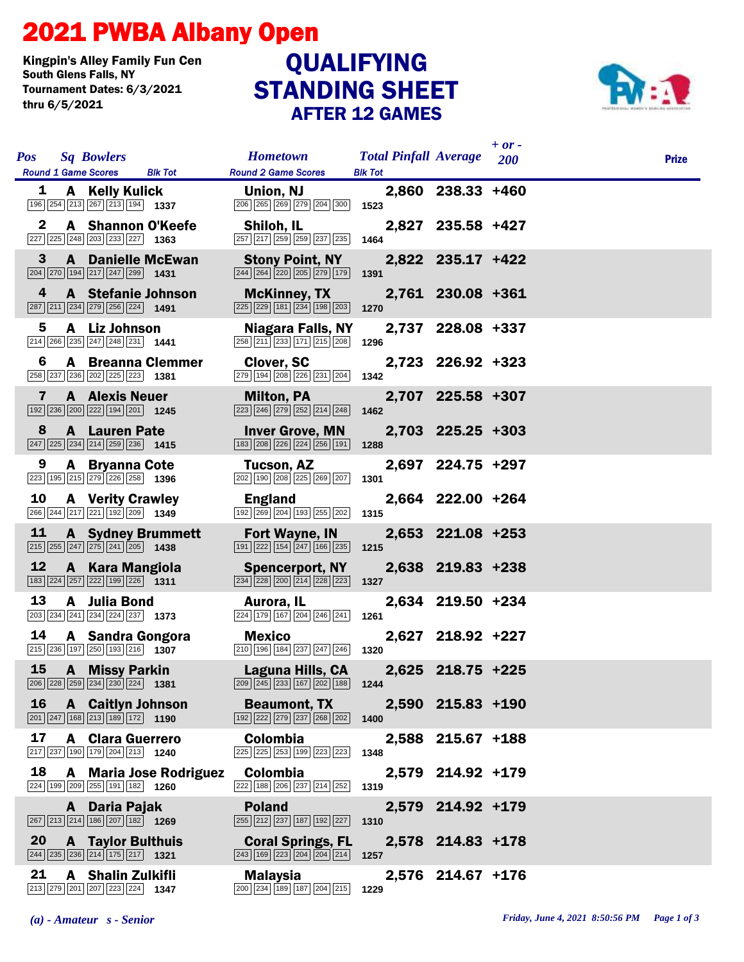## 2021 PWBA Albany Open

Kingpin's Alley Family Fun Cen Tournament Dates: 6/3/2021 thru 6/5/2021

## STANDING SHEET AFTER 12 GAMES QUALIFYING



| <b>Pos</b>   | <b>Sq Bowlers</b>                                                                                                            | <b>Hometown</b>                                                                                                 | <b>Total Pinfall Average</b> |                   | $+$ or $-$<br><b>200</b> | <b>Prize</b> |
|--------------|------------------------------------------------------------------------------------------------------------------------------|-----------------------------------------------------------------------------------------------------------------|------------------------------|-------------------|--------------------------|--------------|
| 1            | <b>Round 1 Game Scores</b><br><b>Blk Tot</b><br>A Kelly Kulick                                                               | <b>Round 2 Game Scores</b><br>Union, NJ                                                                         | <b>Blk Tot</b>               | 2,860 238.33 +460 |                          |              |
|              | 196 254 213 267 213 194 1337                                                                                                 | 206 265 269 279 204 300                                                                                         | 1523                         |                   |                          |              |
| $\mathbf 2$  | A Shannon O'Keefe<br>227 225 248 203 233 227 1363                                                                            | Shiloh, IL<br>257 217 259 259 237 235                                                                           | 1464                         | 2,827 235.58 +427 |                          |              |
| $\mathbf{3}$ | <b>A</b> Danielle McEwan<br>$\boxed{204}$ $\boxed{270}$ $\boxed{194}$ $\boxed{217}$ $\boxed{247}$ $\boxed{299}$ <b>1431</b>  | <b>Stony Point, NY</b><br>244 264 220 205 279 179                                                               | 1391                         | 2,822 235.17 +422 |                          |              |
| 4            | <b>A</b> Stefanie Johnson<br>$\boxed{287}$ $\boxed{211}$ $\boxed{234}$ $\boxed{279}$ $\boxed{256}$ $\boxed{224}$ <b>1491</b> | <b>McKinney, TX</b><br>$\boxed{225}$ $\boxed{229}$ $\boxed{181}$ $\boxed{234}$ $\boxed{198}$ $\boxed{203}$      | 1270                         | 2,761 230.08 +361 |                          |              |
| 5            | A Liz Johnson<br>$\boxed{214}$ $\boxed{266}$ $\boxed{235}$ $\boxed{247}$ $\boxed{248}$ $\boxed{231}$ <b>1441</b>             | <b>Niagara Falls, NY</b><br>258 211 233 171 215 208                                                             | 1296                         | 2,737 228.08 +337 |                          |              |
| 6            | <b>A</b> Breanna Clemmer<br>258 237 236 202 225 223 1381                                                                     | Clover, SC<br>279 194 208 226 231 204                                                                           | 1342                         | 2,723 226.92 +323 |                          |              |
| 7            | <b>A</b> Alexis Neuer<br>$\boxed{192}$ $\boxed{236}$ $\boxed{200}$ $\boxed{222}$ $\boxed{194}$ $\boxed{201}$ <b>1245</b>     | Milton, PA<br>223 246 279 252 214 248                                                                           | 1462                         | 2,707 225.58 +307 |                          |              |
| 8            | <b>A</b> Lauren Pate<br>$\boxed{247}$ $\boxed{225}$ $\boxed{234}$ $\boxed{214}$ $\boxed{259}$ $\boxed{236}$ <b>1415</b>      | <b>Inver Grove, MN</b><br>183 208 226 224 256 191                                                               | 1288                         | 2,703 225.25 +303 |                          |              |
| 9            | <b>A</b> Bryanna Cote<br>223 195 215 279 226 258 1396                                                                        | Tucson, AZ<br>202 190 208 225 269 207                                                                           | 1301                         | 2,697 224.75 +297 |                          |              |
| 10           | <b>A</b> Verity Crawley<br>266 244 217 221 192 209 1349                                                                      | <b>England</b><br>192 269 204 193 255 202                                                                       | 1315                         | 2,664 222.00 +264 |                          |              |
| 11           | <b>A</b> Sydney Brummett<br>$\boxed{215}$ $\boxed{255}$ $\boxed{247}$ $\boxed{275}$ $\boxed{241}$ $\boxed{205}$ <b>1438</b>  | Fort Wayne, IN<br>191 222 154 247 166 235                                                                       | 1215                         | 2,653 221.08 +253 |                          |              |
| 12           | A Kara Mangiola<br>$\boxed{183}$ $\boxed{224}$ $\boxed{257}$ $\boxed{222}$ $\boxed{199}$ $\boxed{226}$ <b>1311</b>           | <b>Spencerport, NY</b><br>234 228 200 214 228 223                                                               | 1327                         | 2,638 219.83 +238 |                          |              |
| 13           | A Julia Bond<br>203 234 241 234 224 237 1373                                                                                 | Aurora, IL<br>224 179 167 204 246 241                                                                           | 1261                         | 2,634 219.50 +234 |                          |              |
| 14           | A Sandra Gongora<br>215 236 197 250 193 216 1307                                                                             | <b>Mexico</b><br>210 196 184 237 247 246                                                                        | 1320                         | 2,627 218.92 +227 |                          |              |
| 15           | <b>A</b> Missy Parkin<br>206 228 259 234 230 224 1381                                                                        | Laguna Hills, CA<br>$\boxed{209}$ $\boxed{245}$ $\boxed{233}$ 167 $\boxed{202}$ 188 1244                        |                              | 2,625 218.75 +225 |                          |              |
| 16           | <b>A</b> Caitlyn Johnson<br>$\boxed{201}$ $\boxed{247}$ $\boxed{168}$ $\boxed{213}$ $\boxed{189}$ $\boxed{172}$ <b>1190</b>  | <b>Beaumont, TX</b><br>192 222 279 237 268 202                                                                  | 1400                         | 2,590 215.83 +190 |                          |              |
| 17           | <b>A</b> Clara Guerrero<br>217 237 190 179 204 213 1240                                                                      | <b>Colombia</b><br>225 225 253 199 223 223                                                                      | 1348                         | 2,588 215.67 +188 |                          |              |
| 18           | <b>A</b> Maria Jose Rodriguez<br>224 199 209 255 191 182 1260                                                                | <b>Colombia</b><br>222 188 206 237 214 252                                                                      | 1319                         | 2,579 214.92 +179 |                          |              |
|              | A Daria Pajak<br>$\boxed{267}$ $\boxed{213}$ $\boxed{214}$ $\boxed{186}$ $\boxed{207}$ $\boxed{182}$ <b>1269</b>             | <b>Poland</b><br>255 212 237 187 192 227                                                                        | 1310                         | 2,579 214.92 +179 |                          |              |
| 20           | <b>A</b> Taylor Bulthuis<br>$\boxed{244}$ $\boxed{235}$ $\boxed{236}$ $\boxed{214}$ $\boxed{175}$ $\boxed{217}$ <b>1321</b>  | <b>Coral Springs, FL</b><br>$\boxed{243}$ $\boxed{169}$ $\boxed{223}$ $\boxed{204}$ $\boxed{204}$ $\boxed{214}$ | 1257                         | 2,578 214.83 +178 |                          |              |
| 21           | <b>A</b> Shalin Zulkifli<br>213 279 201 207 223 224 1347                                                                     | Malaysia<br>200 234 189 187 204 215                                                                             | 1229                         | 2,576 214.67 +176 |                          |              |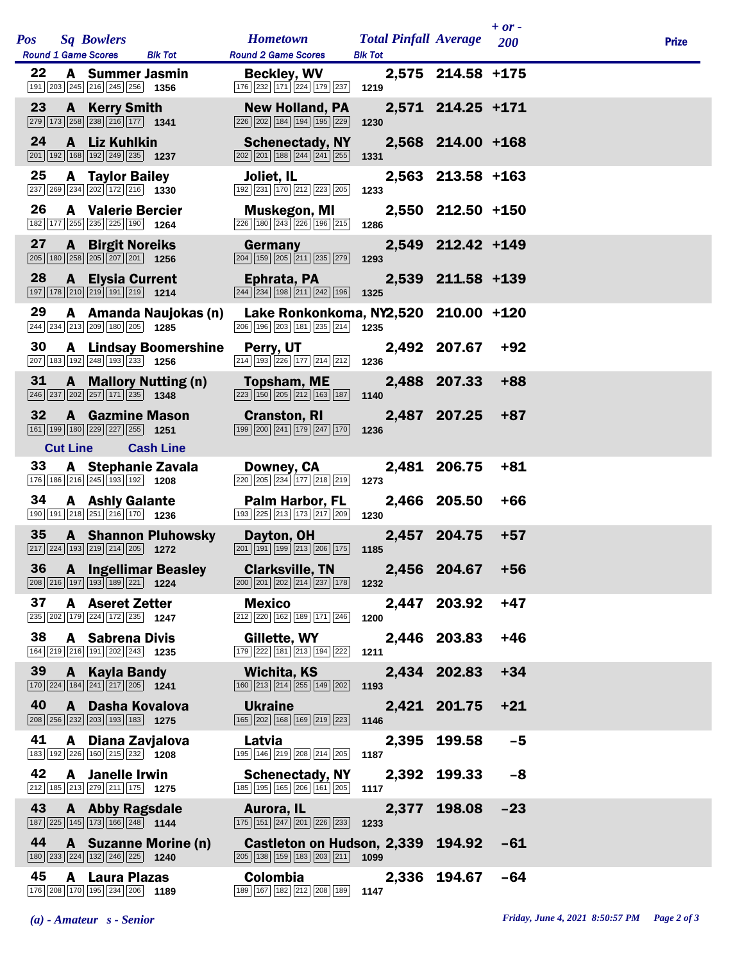|            |    |                 |                                                                                                                  |                              |                                                                                                               |                                                |                   | $+$ or $-$ |              |
|------------|----|-----------------|------------------------------------------------------------------------------------------------------------------|------------------------------|---------------------------------------------------------------------------------------------------------------|------------------------------------------------|-------------------|------------|--------------|
| <b>Pos</b> |    |                 | <b>Sq Bowlers</b><br><b>Round 1 Game Scores</b>                                                                  | <b>Blk Tot</b>               | <b>Hometown</b><br><b>Round 2 Game Scores</b>                                                                 | <b>Total Pinfall Average</b><br><b>Blk Tot</b> |                   | 200        | <b>Prize</b> |
|            | 22 |                 | <b>A</b> Summer Jasmin<br>191 203 245 216 245 256 1356                                                           |                              | <b>Beckley, WV</b><br>$\boxed{176}$ $\boxed{232}$ $\boxed{171}$ $\boxed{224}$ $\boxed{179}$ $\boxed{237}$     | 1219                                           | 2,575 214.58 +175 |            |              |
|            | 23 | $\mathbf{A}$    | <b>Kerry Smith</b><br>279 173 258 238 216 177 1341                                                               |                              | <b>New Holland, PA</b><br>226 202 184 194 195 229                                                             | 1230                                           | 2,571 214.25 +171 |            |              |
|            | 24 |                 | A Liz Kuhlkin<br>$\boxed{201}$ 192 168 192 249 235 1237                                                          |                              | <b>Schenectady, NY</b><br>202 201 188 244 241 255                                                             | 1331                                           | 2,568 214.00 +168 |            |              |
|            | 25 |                 | <b>A</b> Taylor Bailey<br>237 269 234 202 172 216 1330                                                           |                              | Joliet, IL<br>192 231 170 212 223 205                                                                         | 1233                                           | 2,563 213.58 +163 |            |              |
|            | 26 |                 | <b>A</b> Valerie Bercier<br>182 177 255 235 225 190 1264                                                         |                              | <b>Muskegon, MI</b><br>226 180 243 226 196 215                                                                | 1286                                           | 2,550 212.50 +150 |            |              |
|            | 27 |                 | <b>A</b> Birgit Noreiks<br>$\boxed{205}$ 180 $\boxed{258}$ 205 $\boxed{207}$ 201 1256                            |                              | Germany<br>$\boxed{204}$ $\boxed{159}$ $\boxed{205}$ $\boxed{211}$ $\boxed{235}$ $\boxed{279}$                | 1293                                           | 2,549 212.42 +149 |            |              |
|            | 28 | $\mathbf{A}$    | <b>Elysia Current</b><br>197 178 210 219 191 219 1214                                                            |                              | Ephrata, PA<br>$\boxed{244}$ $\boxed{234}$ $\boxed{198}$ $\boxed{211}$ $\boxed{242}$ $\boxed{196}$            | 1325                                           | 2,539 211.58 +139 |            |              |
|            | 29 |                 | 244 234 213 209 180 205 1285                                                                                     | A Amanda Naujokas (n)        | Lake Ronkonkoma, NY2,520 210.00 +120<br>206 196 203 181 235 214                                               | 1235                                           |                   |            |              |
|            | 30 |                 | 207 183 192 248 193 233 1256                                                                                     | <b>A</b> Lindsay Boomershine | Perry, UT<br>$\boxed{214}$ $\boxed{193}$ $\boxed{226}$ $\boxed{177}$ $\boxed{214}$ $\boxed{212}$              | 1236                                           | 2,492 207.67      | +92        |              |
|            | 31 | A               | $\boxed{246}$ $\boxed{237}$ $\boxed{202}$ $\boxed{257}$ $\boxed{171}$ $\boxed{235}$ <b>1348</b>                  | <b>Mallory Nutting (n)</b>   | <b>Topsham, ME</b><br>223 150 205 212 163 187                                                                 | 1140                                           | 2,488 207.33      | $+88$      |              |
|            | 32 | $\mathbf{A}$    | <b>Gazmine Mason</b><br>161 199 180 229 227 255 1251                                                             |                              | <b>Cranston, RI</b><br>199 200 241 179 247 170                                                                | 1236                                           | 2,487 207.25      | $+87$      |              |
|            |    | <b>Cut Line</b> |                                                                                                                  | <b>Cash Line</b>             |                                                                                                               |                                                |                   |            |              |
|            | 33 |                 | 176 186 216 245 193 192 1208                                                                                     | A Stephanie Zavala           | Downey, CA<br>220 205 234 177 218 219                                                                         | 1273                                           | 2,481 206.75      | $+81$      |              |
|            | 34 |                 | <b>A</b> Ashly Galante<br>190 191 218 251 216 170 1236                                                           |                              | <b>Palm Harbor, FL</b><br>193 225 213 173 217 209                                                             | 1230                                           | 2,466 205.50      | +66        |              |
|            | 35 |                 | 217 224 193 219 214 205 1272                                                                                     | <b>A</b> Shannon Pluhowsky   | Dayton, OH<br>201 191 199 213 206 175                                                                         | 1185                                           | 2,457 204.75      | $+57$      |              |
|            | 36 |                 | 208 216 197 193 189 221 1224                                                                                     | <b>A</b> Ingellimar Beasley  | <b>Clarksville, TN</b><br>200 201 202 214 237 178                                                             | 1232                                           | 2,456 204.67      | $+56$      |              |
|            | 37 |                 | <b>A</b> Aseret Zetter<br>235 202 179 224 172 235 1247                                                           |                              | <b>Mexico</b><br>212 220 162 189 171 246                                                                      | 1200                                           | 2,447 203.92      | $+47$      |              |
|            | 38 |                 | <b>A</b> Sabrena Divis<br>164 219 216 191 202 243 1235                                                           |                              | Gillette, WY<br>179 222 181 213 194 222                                                                       | 1211                                           | 2,446 203.83      | $+46$      |              |
|            | 39 |                 | A Kayla Bandy<br>$\boxed{170}$ $\boxed{224}$ $\boxed{184}$ $\boxed{241}$ $\boxed{217}$ $\boxed{205}$ <b>1241</b> |                              | Wichita, KS<br>160 213 214 255 149 202                                                                        | 1193                                           | 2,434 202.83      | $+34$      |              |
|            | 40 | A               | Dasha Kovalova<br>208 256 232 203 193 183 1275                                                                   |                              | <b>Ukraine</b><br>165 202 168 169 219 223                                                                     | 1146                                           | 2,421 201.75      | $+21$      |              |
|            | 41 |                 | A Diana Zavjalova<br>183 192 226 160 215 232 1208                                                                |                              | Latvia<br>195 146 219 208 214 205                                                                             | 2,395<br>1187                                  | 199.58            | $-5$       |              |
|            | 42 |                 | A Janelle Irwin<br>$\overline{212}$ 185 213 279 211 175 1275                                                     |                              | <b>Schenectady, NY</b><br>185 195 165 206 161 205                                                             | 1117                                           | 2,392 199.33      | -8         |              |
|            | 43 |                 | A Abby Ragsdale<br>187 225 145 173 166 248 1144                                                                  |                              | Aurora, IL<br>$\boxed{175}$ $\boxed{151}$ $\boxed{247}$ $\boxed{201}$ $\boxed{226}$ $\boxed{233}$ <b>1233</b> | 2,377                                          | 198.08            | $-23$      |              |
|            | 44 |                 | 180 233 224 132 246 225 1240                                                                                     | A Suzanne Morine (n)         | Castleton on Hudson, 2,339<br>$\boxed{205}$ 138 159 183 203 211 1099                                          |                                                | 194.92            | -61        |              |
|            | 45 |                 | A Laura Plazas<br>176 208 170 195 234 206 1189                                                                   |                              | <b>Colombia</b><br>189 167 182 212 208 189                                                                    | 2,336<br>1147                                  | 194.67            | $-64$      |              |